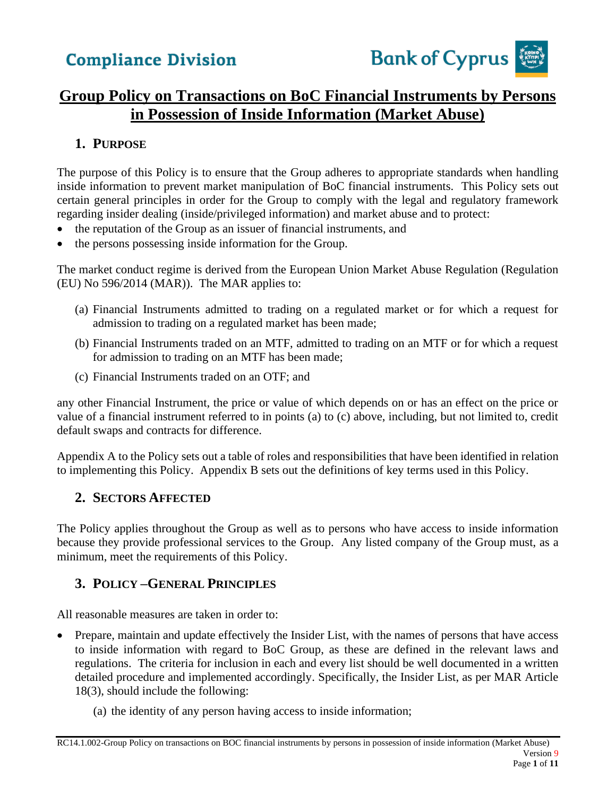

### **Group Policy on Transactions on BoC Financial Instruments by Persons in Possession of Inside Information (Market Abuse)**

### **1. PURPOSE**

The purpose of this Policy is to ensure that the Group adheres to appropriate standards when handling inside information to prevent market manipulation of BoC financial instruments. This Policy sets out certain general principles in order for the Group to comply with the legal and regulatory framework regarding insider dealing (inside/privileged information) and market abuse and to protect:

- the reputation of the Group as an issuer of financial instruments, and
- the persons possessing inside information for the Group.

The market conduct regime is derived from the European Union Market Abuse Regulation (Regulation (EU) No 596/2014 (MAR)). The MAR applies to:

- (a) Financial Instruments admitted to trading on a regulated market or for which a request for admission to trading on a regulated market has been made;
- (b) Financial Instruments traded on an MTF, admitted to trading on an MTF or for which a request for admission to trading on an MTF has been made;
- (c) Financial Instruments traded on an OTF; and

any other Financial Instrument, the price or value of which depends on or has an effect on the price or value of a financial instrument referred to in points (a) to (c) above, including, but not limited to, credit default swaps and contracts for difference.

Appendix A to the Policy sets out a table of roles and responsibilities that have been identified in relation to implementing this Policy. Appendix B sets out the definitions of key terms used in this Policy.

### **2. SECTORS AFFECTED**

The Policy applies throughout the Group as well as to persons who have access to inside information because they provide professional services to the Group. Any listed company of the Group must, as a minimum, meet the requirements of this Policy.

### **3. POLICY –GENERAL PRINCIPLES**

All reasonable measures are taken in order to:

- Prepare, maintain and update effectively the Insider List, with the names of persons that have access to inside information with regard to BoC Group, as these are defined in the relevant laws and regulations. The criteria for inclusion in each and every list should be well documented in a written detailed procedure and implemented accordingly. Specifically, the Insider List, as per MAR Article 18(3), should include the following:
	- (a) the identity of any person having access to inside information;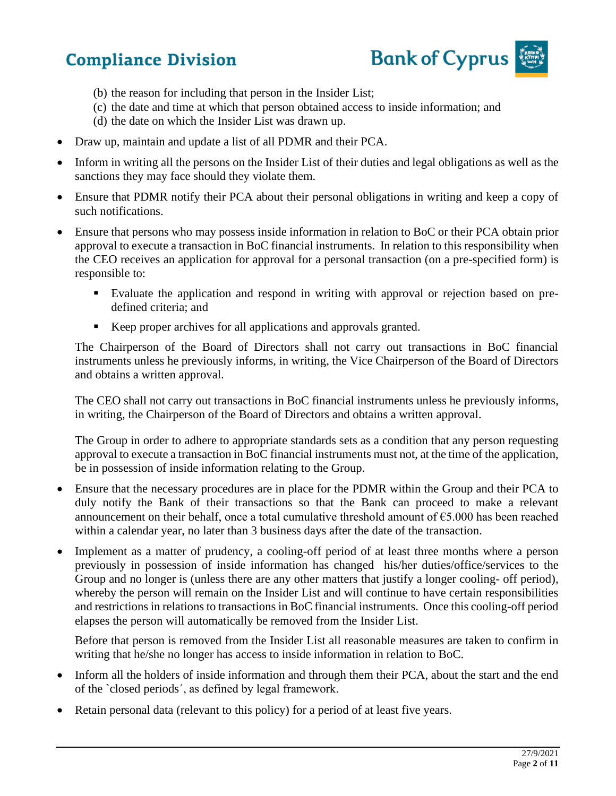

- (b) the reason for including that person in the Insider List;
- (c) the date and time at which that person obtained access to inside information; and
- (d) the date on which the Insider List was drawn up.
- Draw up, maintain and update a list of all PDMR and their PCA.
- Inform in writing all the persons on the Insider List of their duties and legal obligations as well as the sanctions they may face should they violate them.
- Ensure that PDMR notify their PCA about their personal obligations in writing and keep a copy of such notifications.
- Ensure that persons who may possess inside information in relation to BoC or their PCA obtain prior approval to execute a transaction in BoC financial instruments. In relation to this responsibility when the CEO receives an application for approval for a personal transaction (on a pre-specified form) is responsible to:
	- Evaluate the application and respond in writing with approval or rejection based on predefined criteria; and
	- Keep proper archives for all applications and approvals granted.

The Chairperson of the Board of Directors shall not carry out transactions in BoC financial instruments unless he previously informs, in writing, the Vice Chairperson of the Board of Directors and obtains a written approval.

The CEO shall not carry out transactions in BoC financial instruments unless he previously informs, in writing, the Chairperson of the Board of Directors and obtains a written approval.

The Group in order to adhere to appropriate standards sets as a condition that any person requesting approval to execute a transaction in BoC financial instruments must not, at the time of the application, be in possession of inside information relating to the Group.

- Ensure that the necessary procedures are in place for the PDMR within the Group and their PCA to duly notify the Bank of their transactions so that the Bank can proceed to make a relevant announcement on their behalf, once a total cumulative threshold amount of €5.000 has been reached within a calendar year, no later than 3 business days after the date of the transaction.
- Implement as a matter of prudency, a cooling-off period of at least three months where a person previously in possession of inside information has changed his/her duties/office/services to the Group and no longer is (unless there are any other matters that justify a longer cooling- off period), whereby the person will remain on the Insider List and will continue to have certain responsibilities and restrictions in relations to transactions in BoC financial instruments. Once this cooling-off period elapses the person will automatically be removed from the Insider List.

Before that person is removed from the Insider List all reasonable measures are taken to confirm in writing that he/she no longer has access to inside information in relation to BoC.

- Inform all the holders of inside information and through them their PCA, about the start and the end of the `closed periods´, as defined by legal framework.
- Retain personal data (relevant to this policy) for a period of at least five years.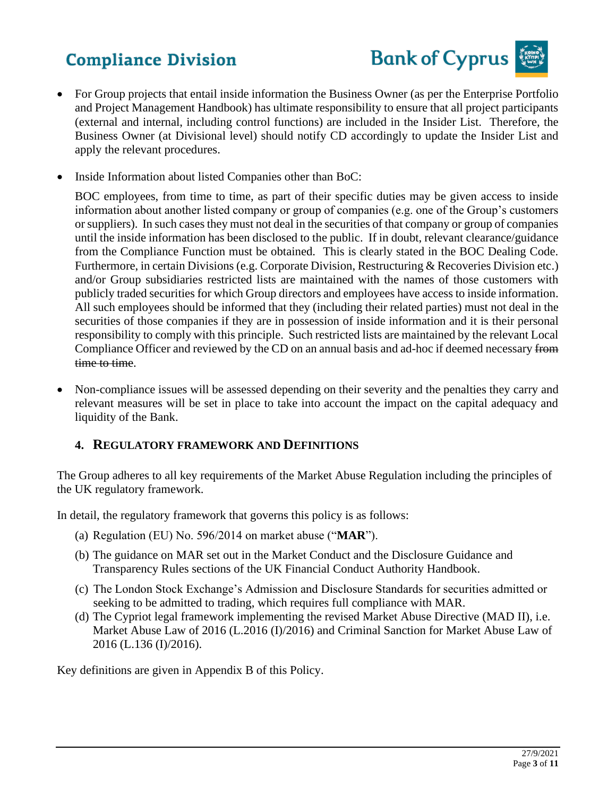

- For Group projects that entail inside information the Business Owner (as per the Enterprise Portfolio and Project Management Handbook) has ultimate responsibility to ensure that all project participants (external and internal, including control functions) are included in the Insider List. Therefore, the Business Owner (at Divisional level) should notify CD accordingly to update the Insider List and apply the relevant procedures.
- Inside Information about listed Companies other than BoC:

BOC employees, from time to time, as part of their specific duties may be given access to inside information about another listed company or group of companies (e.g. one of the Group's customers or suppliers). In such cases they must not deal in the securities of that company or group of companies until the inside information has been disclosed to the public. If in doubt, relevant clearance/guidance from the Compliance Function must be obtained. This is clearly stated in the BOC Dealing Code. Furthermore, in certain Divisions (e.g. Corporate Division, Restructuring & Recoveries Division etc.) and/or Group subsidiaries restricted lists are maintained with the names of those customers with publicly traded securities for which Group directors and employees have access to inside information. All such employees should be informed that they (including their related parties) must not deal in the securities of those companies if they are in possession of inside information and it is their personal responsibility to comply with this principle. Such restricted lists are maintained by the relevant Local Compliance Officer and reviewed by the CD on an annual basis and ad-hoc if deemed necessary from time to time.

• Non-compliance issues will be assessed depending on their severity and the penalties they carry and relevant measures will be set in place to take into account the impact on the capital adequacy and liquidity of the Bank.

### **4. REGULATORY FRAMEWORK AND DEFINITIONS**

The Group adheres to all key requirements of the Market Abuse Regulation including the principles of the UK regulatory framework.

In detail, the regulatory framework that governs this policy is as follows:

- (a) Regulation (EU) No. 596/2014 on market abuse ("**MAR**").
- (b) The guidance on MAR set out in the Market Conduct and the Disclosure Guidance and Transparency Rules sections of the UK Financial Conduct Authority Handbook.
- (c) The London Stock Exchange's Admission and Disclosure Standards for securities admitted or seeking to be admitted to trading, which requires full compliance with MAR.
- (d) The Cypriot legal framework implementing the revised Market Abuse Directive (MAD II), i.e. Market Abuse Law of 2016 (L.2016 (I)/2016) and Criminal Sanction for Market Abuse Law of 2016 (L.136 (I)/2016).

Key definitions are given in Appendix B of this Policy.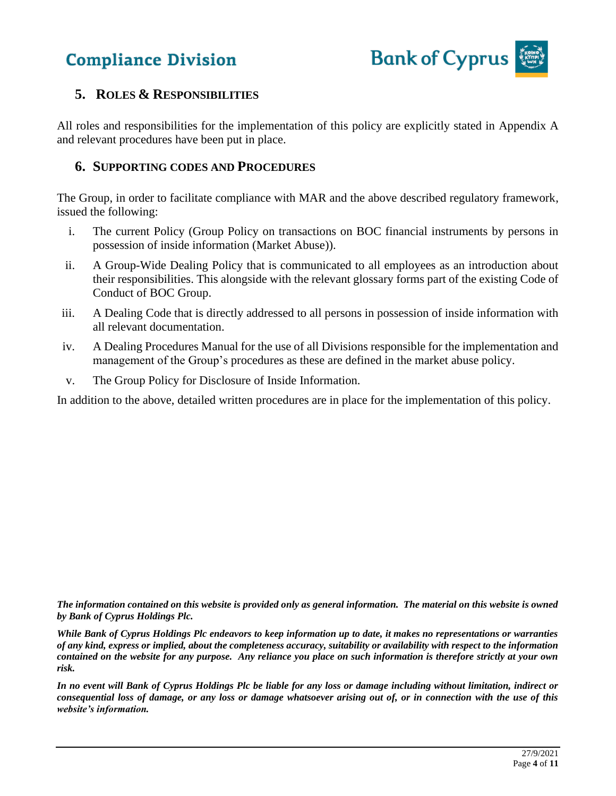

### **5. ROLES & RESPONSIBILITIES**

All roles and responsibilities for the implementation of this policy are explicitly stated in Appendix A and relevant procedures have been put in place.

#### **6. SUPPORTING CODES AND PROCEDURES**

The Group, in order to facilitate compliance with MAR and the above described regulatory framework, issued the following:

- i. The current Policy (Group Policy on transactions on BOC financial instruments by persons in possession of inside information (Market Abuse)).
- ii. A Group-Wide Dealing Policy that is communicated to all employees as an introduction about their responsibilities. This alongside with the relevant glossary forms part of the existing Code of Conduct of BOC Group.
- iii. A Dealing Code that is directly addressed to all persons in possession of inside information with all relevant documentation.
- iv. A Dealing Procedures Manual for the use of all Divisions responsible for the implementation and management of the Group's procedures as these are defined in the market abuse policy.
- v. The Group Policy for Disclosure of Inside Information.

In addition to the above, detailed written procedures are in place for the implementation of this policy.

*The information contained on this website is provided only as general information. The material on this website is owned by Bank of Cyprus Holdings Plc.*

*While Bank of Cyprus Holdings Plc endeavors to keep information up to date, it makes no representations or warranties of any kind, express or implied, about the completeness accuracy, suitability or availability with respect to the information contained on the website for any purpose. Any reliance you place on such information is therefore strictly at your own risk.* 

*In no event will Bank of Cyprus Holdings Plc be liable for any loss or damage including without limitation, indirect or consequential loss of damage, or any loss or damage whatsoever arising out of, or in connection with the use of this website's information.*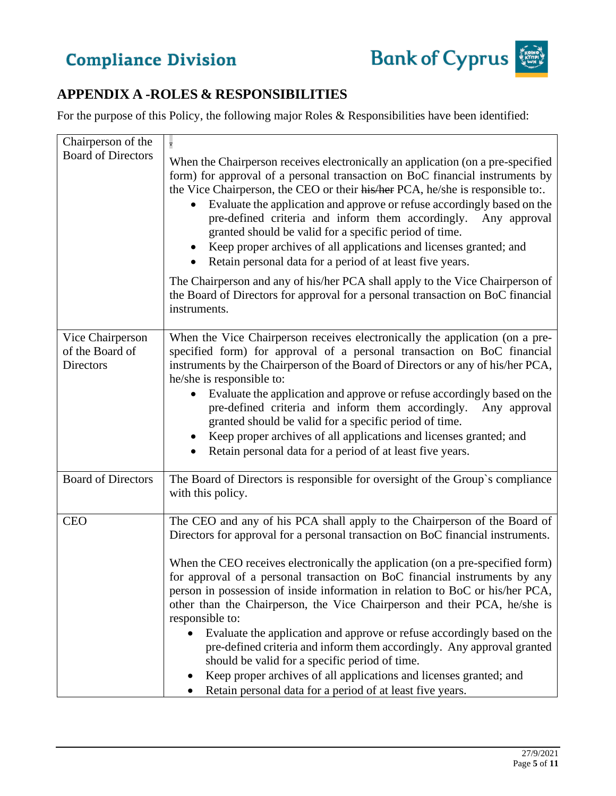

### **APPENDIX A -ROLES & RESPONSIBILITIES**

For the purpose of this Policy, the following major Roles & Responsibilities have been identified:

| Chairperson of the                               |                                                                                                                                                                                                                                                                                                                                                                                                                                                                                                                                                                                                                                                                                                                                                                                                                                                         |
|--------------------------------------------------|---------------------------------------------------------------------------------------------------------------------------------------------------------------------------------------------------------------------------------------------------------------------------------------------------------------------------------------------------------------------------------------------------------------------------------------------------------------------------------------------------------------------------------------------------------------------------------------------------------------------------------------------------------------------------------------------------------------------------------------------------------------------------------------------------------------------------------------------------------|
| <b>Board of Directors</b>                        | When the Chairperson receives electronically an application (on a pre-specified<br>form) for approval of a personal transaction on BoC financial instruments by<br>the Vice Chairperson, the CEO or their his/her PCA, he/she is responsible to:.<br>Evaluate the application and approve or refuse accordingly based on the<br>pre-defined criteria and inform them accordingly.<br>Any approval<br>granted should be valid for a specific period of time.<br>Keep proper archives of all applications and licenses granted; and<br>Retain personal data for a period of at least five years.<br>The Chairperson and any of his/her PCA shall apply to the Vice Chairperson of<br>the Board of Directors for approval for a personal transaction on BoC financial<br>instruments.                                                                      |
|                                                  |                                                                                                                                                                                                                                                                                                                                                                                                                                                                                                                                                                                                                                                                                                                                                                                                                                                         |
| Vice Chairperson<br>of the Board of<br>Directors | When the Vice Chairperson receives electronically the application (on a pre-<br>specified form) for approval of a personal transaction on BoC financial<br>instruments by the Chairperson of the Board of Directors or any of his/her PCA,<br>he/she is responsible to:<br>Evaluate the application and approve or refuse accordingly based on the<br>$\bullet$<br>pre-defined criteria and inform them accordingly.<br>Any approval<br>granted should be valid for a specific period of time.<br>Keep proper archives of all applications and licenses granted; and<br>Retain personal data for a period of at least five years.                                                                                                                                                                                                                       |
| <b>Board of Directors</b>                        | The Board of Directors is responsible for oversight of the Group's compliance<br>with this policy.                                                                                                                                                                                                                                                                                                                                                                                                                                                                                                                                                                                                                                                                                                                                                      |
| <b>CEO</b>                                       | The CEO and any of his PCA shall apply to the Chairperson of the Board of<br>Directors for approval for a personal transaction on BoC financial instruments.<br>When the CEO receives electronically the application (on a pre-specified form)<br>for approval of a personal transaction on BoC financial instruments by any<br>person in possession of inside information in relation to BoC or his/her PCA,<br>other than the Chairperson, the Vice Chairperson and their PCA, he/she is<br>responsible to:<br>Evaluate the application and approve or refuse accordingly based on the<br>pre-defined criteria and inform them accordingly. Any approval granted<br>should be valid for a specific period of time.<br>Keep proper archives of all applications and licenses granted; and<br>Retain personal data for a period of at least five years. |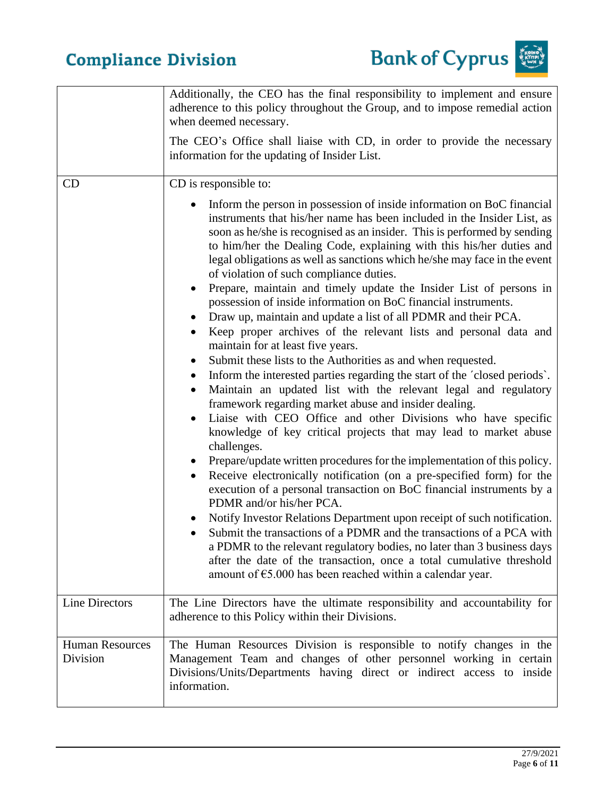



|                                    | Additionally, the CEO has the final responsibility to implement and ensure<br>adherence to this policy throughout the Group, and to impose remedial action<br>when deemed necessary.<br>The CEO's Office shall liaise with CD, in order to provide the necessary<br>information for the updating of Insider List.                                                                                                                                                                                                                                                                                                                                                                                                                                                                                                                                                                                                                                                                                                                                                                                                                                                                                                                                                                                                                                                                                                                                                                                                                                                                                                                                                                                                                                                                                                                                                                              |
|------------------------------------|------------------------------------------------------------------------------------------------------------------------------------------------------------------------------------------------------------------------------------------------------------------------------------------------------------------------------------------------------------------------------------------------------------------------------------------------------------------------------------------------------------------------------------------------------------------------------------------------------------------------------------------------------------------------------------------------------------------------------------------------------------------------------------------------------------------------------------------------------------------------------------------------------------------------------------------------------------------------------------------------------------------------------------------------------------------------------------------------------------------------------------------------------------------------------------------------------------------------------------------------------------------------------------------------------------------------------------------------------------------------------------------------------------------------------------------------------------------------------------------------------------------------------------------------------------------------------------------------------------------------------------------------------------------------------------------------------------------------------------------------------------------------------------------------------------------------------------------------------------------------------------------------|
| CD                                 | CD is responsible to:<br>Inform the person in possession of inside information on BoC financial<br>instruments that his/her name has been included in the Insider List, as<br>soon as he/she is recognised as an insider. This is performed by sending<br>to him/her the Dealing Code, explaining with this his/her duties and<br>legal obligations as well as sanctions which he/she may face in the event<br>of violation of such compliance duties.<br>Prepare, maintain and timely update the Insider List of persons in<br>٠<br>possession of inside information on BoC financial instruments.<br>Draw up, maintain and update a list of all PDMR and their PCA.<br>Keep proper archives of the relevant lists and personal data and<br>٠<br>maintain for at least five years.<br>Submit these lists to the Authorities as and when requested.<br>$\bullet$<br>Inform the interested parties regarding the start of the 'closed periods'.<br>$\bullet$<br>Maintain an updated list with the relevant legal and regulatory<br>framework regarding market abuse and insider dealing.<br>Liaise with CEO Office and other Divisions who have specific<br>$\bullet$<br>knowledge of key critical projects that may lead to market abuse<br>challenges.<br>Prepare/update written procedures for the implementation of this policy.<br>Receive electronically notification (on a pre-specified form) for the<br>execution of a personal transaction on BoC financial instruments by a<br>PDMR and/or his/her PCA.<br>Notify Investor Relations Department upon receipt of such notification.<br>Submit the transactions of a PDMR and the transactions of a PCA with<br>a PDMR to the relevant regulatory bodies, no later than 3 business days<br>after the date of the transaction, once a total cumulative threshold<br>amount of $\epsilon$ 5.000 has been reached within a calendar year. |
| Line Directors                     | The Line Directors have the ultimate responsibility and accountability for<br>adherence to this Policy within their Divisions.                                                                                                                                                                                                                                                                                                                                                                                                                                                                                                                                                                                                                                                                                                                                                                                                                                                                                                                                                                                                                                                                                                                                                                                                                                                                                                                                                                                                                                                                                                                                                                                                                                                                                                                                                                 |
| <b>Human Resources</b><br>Division | The Human Resources Division is responsible to notify changes in the<br>Management Team and changes of other personnel working in certain<br>Divisions/Units/Departments having direct or indirect access to inside<br>information.                                                                                                                                                                                                                                                                                                                                                                                                                                                                                                                                                                                                                                                                                                                                                                                                                                                                                                                                                                                                                                                                                                                                                                                                                                                                                                                                                                                                                                                                                                                                                                                                                                                            |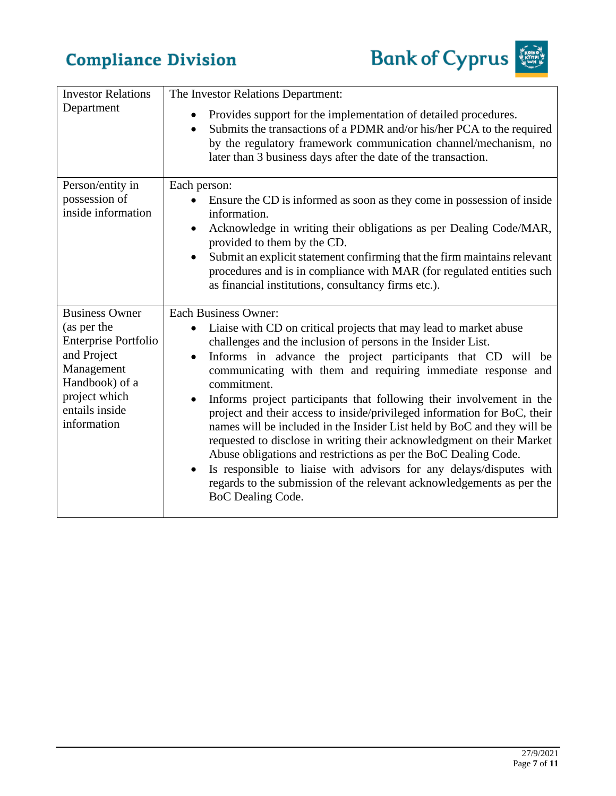

| <b>Investor Relations</b><br>Department                                                       | The Investor Relations Department:                                                                                                                                                                                                                                                                                                                                                                                                                          |
|-----------------------------------------------------------------------------------------------|-------------------------------------------------------------------------------------------------------------------------------------------------------------------------------------------------------------------------------------------------------------------------------------------------------------------------------------------------------------------------------------------------------------------------------------------------------------|
|                                                                                               | Provides support for the implementation of detailed procedures.<br>Submits the transactions of a PDMR and/or his/her PCA to the required<br>$\bullet$<br>by the regulatory framework communication channel/mechanism, no<br>later than 3 business days after the date of the transaction.                                                                                                                                                                   |
| Person/entity in<br>possession of                                                             | Each person:<br>Ensure the CD is informed as soon as they come in possession of inside                                                                                                                                                                                                                                                                                                                                                                      |
| inside information                                                                            | information.<br>Acknowledge in writing their obligations as per Dealing Code/MAR,<br>provided to them by the CD.                                                                                                                                                                                                                                                                                                                                            |
|                                                                                               | Submit an explicit statement confirming that the firm maintains relevant<br>procedures and is in compliance with MAR (for regulated entities such<br>as financial institutions, consultancy firms etc.).                                                                                                                                                                                                                                                    |
| <b>Business Owner</b><br>(as per the                                                          | <b>Each Business Owner:</b><br>Liaise with CD on critical projects that may lead to market abuse                                                                                                                                                                                                                                                                                                                                                            |
| <b>Enterprise Portfolio</b>                                                                   | challenges and the inclusion of persons in the Insider List.                                                                                                                                                                                                                                                                                                                                                                                                |
| and Project<br>Management<br>Handbook) of a<br>project which<br>entails inside<br>information | Informs in advance the project participants that CD will be<br>$\bullet$<br>communicating with them and requiring immediate response and<br>commitment.                                                                                                                                                                                                                                                                                                     |
|                                                                                               | Informs project participants that following their involvement in the<br>$\bullet$<br>project and their access to inside/privileged information for BoC, their<br>names will be included in the Insider List held by BoC and they will be<br>requested to disclose in writing their acknowledgment on their Market<br>Abuse obligations and restrictions as per the BoC Dealing Code.<br>Is responsible to liaise with advisors for any delays/disputes with |
|                                                                                               | regards to the submission of the relevant acknowledgements as per the<br>BoC Dealing Code.                                                                                                                                                                                                                                                                                                                                                                  |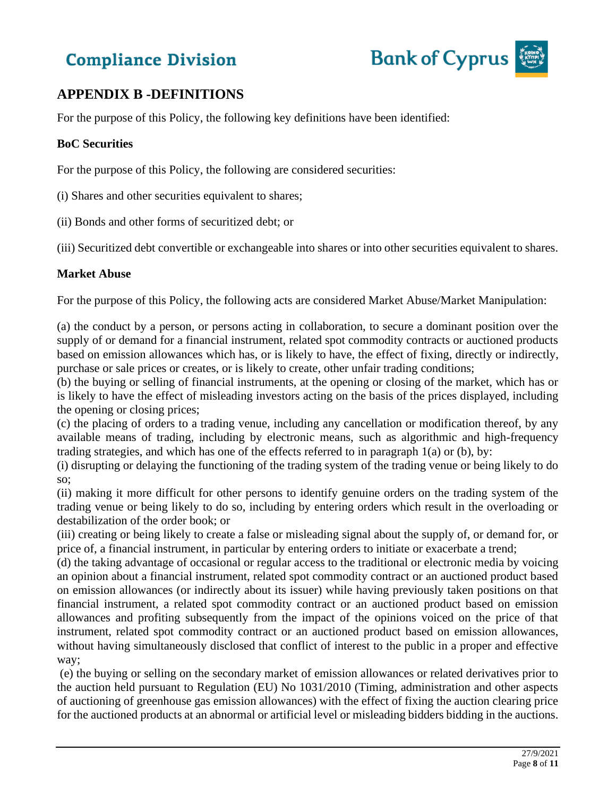

### **APPENDIX B -DEFINITIONS**

For the purpose of this Policy, the following key definitions have been identified:

#### **BoC Securities**

For the purpose of this Policy, the following are considered securities:

- (i) Shares and other securities equivalent to shares;
- (ii) Bonds and other forms of securitized debt; or

(iii) Securitized debt convertible or exchangeable into shares or into other securities equivalent to shares.

#### **Market Abuse**

For the purpose of this Policy, the following acts are considered Market Abuse/Market Manipulation:

(a) the conduct by a person, or persons acting in collaboration, to secure a dominant position over the supply of or demand for a financial instrument, related spot commodity contracts or auctioned products based on emission allowances which has, or is likely to have, the effect of fixing, directly or indirectly, purchase or sale prices or creates, or is likely to create, other unfair trading conditions;

(b) the buying or selling of financial instruments, at the opening or closing of the market, which has or is likely to have the effect of misleading investors acting on the basis of the prices displayed, including the opening or closing prices;

(c) the placing of orders to a trading venue, including any cancellation or modification thereof, by any available means of trading, including by electronic means, such as algorithmic and high-frequency trading strategies, and which has one of the effects referred to in paragraph 1(a) or (b), by:

(i) disrupting or delaying the functioning of the trading system of the trading venue or being likely to do so;

(ii) making it more difficult for other persons to identify genuine orders on the trading system of the trading venue or being likely to do so, including by entering orders which result in the overloading or destabilization of the order book; or

(iii) creating or being likely to create a false or misleading signal about the supply of, or demand for, or price of, a financial instrument, in particular by entering orders to initiate or exacerbate a trend;

(d) the taking advantage of occasional or regular access to the traditional or electronic media by voicing an opinion about a financial instrument, related spot commodity contract or an auctioned product based on emission allowances (or indirectly about its issuer) while having previously taken positions on that financial instrument, a related spot commodity contract or an auctioned product based on emission allowances and profiting subsequently from the impact of the opinions voiced on the price of that instrument, related spot commodity contract or an auctioned product based on emission allowances, without having simultaneously disclosed that conflict of interest to the public in a proper and effective way;

(e) the buying or selling on the secondary market of emission allowances or related derivatives prior to the auction held pursuant to Regulation (EU) No 1031/2010 (Timing, administration and other aspects of auctioning of greenhouse gas emission allowances) with the effect of fixing the auction clearing price for the auctioned products at an abnormal or artificial level or misleading bidders bidding in the auctions.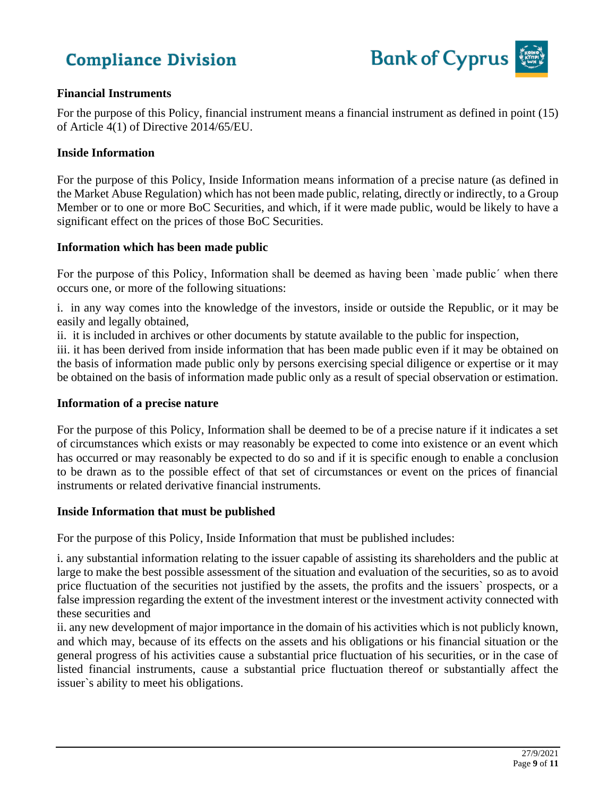

#### **Financial Instruments**

For the purpose of this Policy, financial instrument means a financial instrument as defined in point (15) of Article 4(1) of Directive 2014/65/EU.

#### **Inside Information**

For the purpose of this Policy, Inside Information means information of a precise nature (as defined in the Market Abuse Regulation) which has not been made public, relating, directly or indirectly, to a Group Member or to one or more BoC Securities, and which, if it were made public, would be likely to have a significant effect on the prices of those BoC Securities.

#### **Information which has been made public**

For the purpose of this Policy, Information shall be deemed as having been `made public´ when there occurs one, or more of the following situations:

i. in any way comes into the knowledge of the investors, inside or outside the Republic, or it may be easily and legally obtained,

ii. it is included in archives or other documents by statute available to the public for inspection,

iii. it has been derived from inside information that has been made public even if it may be obtained on the basis of information made public only by persons exercising special diligence or expertise or it may be obtained on the basis of information made public only as a result of special observation or estimation.

#### **Information of a precise nature**

For the purpose of this Policy, Information shall be deemed to be of a precise nature if it indicates a set of circumstances which exists or may reasonably be expected to come into existence or an event which has occurred or may reasonably be expected to do so and if it is specific enough to enable a conclusion to be drawn as to the possible effect of that set of circumstances or event on the prices of financial instruments or related derivative financial instruments.

#### **Inside Information that must be published**

For the purpose of this Policy, Inside Information that must be published includes:

i. any substantial information relating to the issuer capable of assisting its shareholders and the public at large to make the best possible assessment of the situation and evaluation of the securities, so as to avoid price fluctuation of the securities not justified by the assets, the profits and the issuers` prospects, or a false impression regarding the extent of the investment interest or the investment activity connected with these securities and

ii. any new development of major importance in the domain of his activities which is not publicly known, and which may, because of its effects on the assets and his obligations or his financial situation or the general progress of his activities cause a substantial price fluctuation of his securities, or in the case of listed financial instruments, cause a substantial price fluctuation thereof or substantially affect the issuer`s ability to meet his obligations.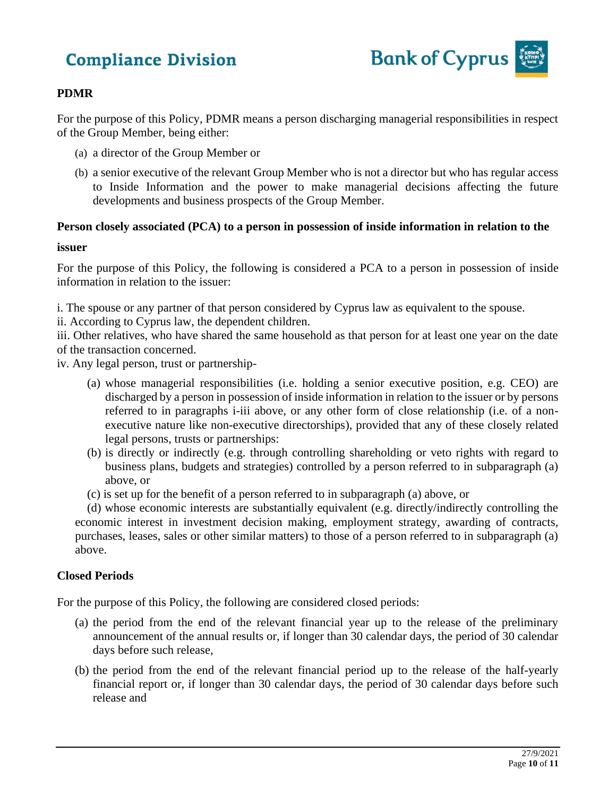

#### **PDMR**

For the purpose of this Policy, PDMR means a person discharging managerial responsibilities in respect of the Group Member, being either:

- (a) a director of the Group Member or
- (b) a senior executive of the relevant Group Member who is not a director but who has regular access to Inside Information and the power to make managerial decisions affecting the future developments and business prospects of the Group Member.

#### **Person closely associated (PCA) to a person in possession of inside information in relation to the**

#### **issuer**

For the purpose of this Policy, the following is considered a PCA to a person in possession of inside information in relation to the issuer:

i. The spouse or any partner of that person considered by Cyprus law as equivalent to the spouse.

ii. According to Cyprus law, the dependent children.

iii. Other relatives, who have shared the same household as that person for at least one year on the date of the transaction concerned.

iv. Any legal person, trust or partnership-

- (a) whose managerial responsibilities (i.e. holding a senior executive position, e.g. CEO) are discharged by a person in possession of inside information in relation to the issuer or by persons referred to in paragraphs i-iii above, or any other form of close relationship (i.e. of a nonexecutive nature like non-executive directorships), provided that any of these closely related legal persons, trusts or partnerships:
- (b) is directly or indirectly (e.g. through controlling shareholding or veto rights with regard to business plans, budgets and strategies) controlled by a person referred to in subparagraph (a) above, or
- (c) is set up for the benefit of a person referred to in subparagraph (a) above, or

 (d) whose economic interests are substantially equivalent (e.g. directly/indirectly controlling the economic interest in investment decision making, employment strategy, awarding of contracts, purchases, leases, sales or other similar matters) to those of a person referred to in subparagraph (a) above.

#### **Closed Periods**

For the purpose of this Policy, the following are considered closed periods:

- (a) the period from the end of the relevant financial year up to the release of the preliminary announcement of the annual results or, if longer than 30 calendar days, the period of 30 calendar days before such release,
- (b) the period from the end of the relevant financial period up to the release of the half-yearly financial report or, if longer than 30 calendar days, the period of 30 calendar days before such release and